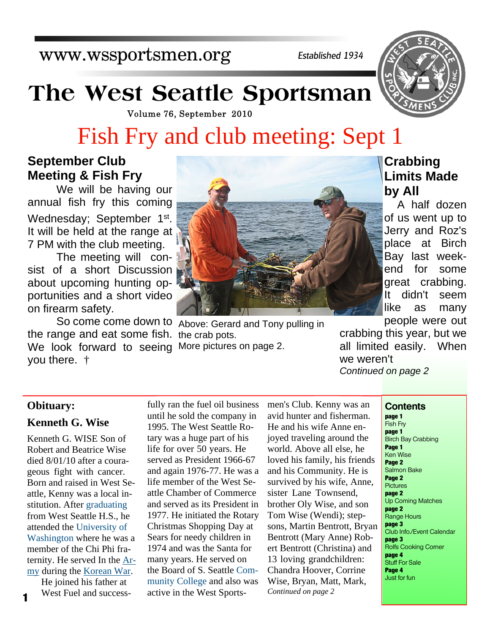www.wssportsmen.org

*Established 1934*

# **The West Seattle Sportsman**

Volume 76, September 2010

# Fish Fry and club meeting: Sept 1

## **September Club Meeting & Fish Fry**

We will be having our annual fish fry this coming Wednesday; September 1st. It will be held at the range at 7 PM with the club meeting.

 The meeting will consist of a short Discussion about upcoming hunting opportunities and a short video on firearm safety.

 So come come down to Above: Gerard and Tony pulling in the range and eat some fish. the crab pots. We look forward to seeing More pictures on page 2. you there. †



## **Crabbing Limits Made by All**

A half dozen of us went up to Jerry and Roz's place at Birch Bay last weekend for some great crabbing. It didn't seem like as many people were out

crabbing this year, but we all limited easily. When we weren't *Continued on page 2*

### **Obituary:**

### **Kenneth G. Wise**

Kenneth G. WISE Son of Robert and Beatrice Wise died 8/01/10 after a courageous fight with cancer. Born and raised in West Seattle, Kenny was a local institution. After graduating from West Seattle H.S., he attended the University of Washington where he was a member of the Chi Phi fraternity. He served In the Army during the Korean War.

He joined his father at West Fuel and success-**1** West Fuel and success-<br>active in the West Sports-<br>*Continued on page 2* 

fully ran the fuel oil business until he sold the company in 1995. The West Seattle Rotary was a huge part of his life for over 50 years. He served as President 1966-67 and again 1976-77. He was a life member of the West Seattle Chamber of Commerce and served as its President in 1977. He initiated the Rotary Christmas Shopping Day at Sears for needy children in 1974 and was the Santa for many years. He served on the Board of S. Seattle Community College and also was

men's Club. Kenny was an avid hunter and fisherman. He and his wife Anne enjoyed traveling around the world. Above all else, he loved his family, his friends and his Community. He is survived by his wife, Anne, sister Lane Townsend, brother Oly Wise, and son Tom Wise (Wendi); stepsons, Martin Bentrott, Bryan Bentrott (Mary Anne) Robert Bentrott (Christina) and 13 loving grandchildren: Chandra Hoover, Corrine Wise, Bryan, Matt, Mark,

#### **Contents**

**page 1** Fish Fry **page 1** Birch Bay Crabbing **Page 1** Ken Wise **Page 2** Salmon Bake **Page 2 Pictures page 2** Up Coming Matches **page 2** Range Hours **page 3** Club Info./Event Calendar **page 3** Rolfs Cooking Corner **page 4** Stuff For Sale **Page 4** Just for fun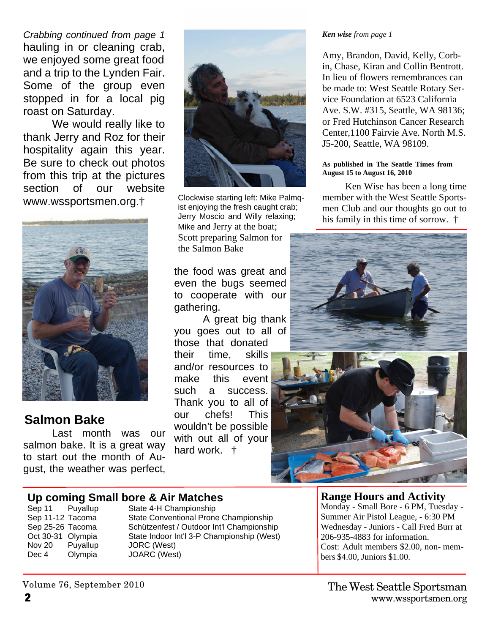*Crabbing continued from page 1* hauling in or cleaning crab, we enjoyed some great food and a trip to the Lynden Fair. Some of the group even stopped in for a local pig roast on Saturday.

We would really like to thank Jerry and Roz for their hospitality again this year. Be sure to check out photos from this trip at the pictures section of our website www.wssportsmen.org.†



# **Salmon Bake**

Last month was our salmon bake. It is a great way to start out the month of August, the weather was perfect,



Clockwise starting left: Mike Palmqist enjoying the fresh caught crab; Jerry Moscio and Willy relaxing; Mike and Jerry at the boat; Scott preparing Salmon for the Salmon Bake

the food was great and even the bugs seemed to cooperate with our gathering.

 A great big thank you goes out to all of those that donated their time, skills and/or resources to make this event such a success. Thank you to all of our chefs! This wouldn't be possible with out all of your hard work. †

#### *Ken wise from page 1*

Amy, Brandon, David, Kelly, Corbin, Chase, Kiran and Collin Bentrott. In lieu of flowers remembrances can be made to: West Seattle Rotary Service Foundation at 6523 California Ave. S.W. #315, Seattle, WA 98136; or Fred Hutchinson Cancer Research Center,1100 Fairvie Ave. North M.S. J5-200, Seattle, WA 98109.

#### **As published in The Seattle Times from August 15 to August 16, 2010**

Ken Wise has been a long time member with the West Seattle Sportsmen Club and our thoughts go out to his family in this time of sorrow. †



# **Up coming Small bore & Air Matches**<br>Sep 11 Puvallup State 4-H Championship

Nov 20 Puyallup JORC (West) Dec 4 Olympia JOARC (West)

State 4-H Championship Sep 11-12 Tacoma State Conventional Prone Championship<br>
Sep 25-26 Tacoma Schützenfest / Outdoor Int'l Championship Schützenfest / Outdoor Int'l Championship Oct 30-31 Olympia State Indoor Int'l 3-P Championship (West)

### **Range Hours and Activity**

Monday - Small Bore - 6 PM, Tuesday - Summer Air Pistol League, - 6:30 PM Wednesday - Juniors - Call Fred Burr at 206-935-4883 for information. Cost: Adult members \$2.00, non- members \$4.00, Juniors \$1.00.

Volume 76, September 2010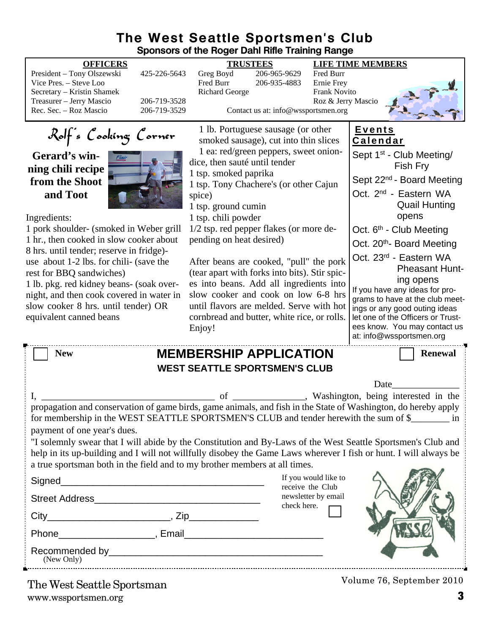### **The West Seattle Sportsmen's Club Sponsors of the Roger Dahl Rifle Training Range**

|                                                                                                                                                                                                                                                                                                                                                                                                                                                                                                                                                                                                                             |                              | oponovio or the noger bann nine training nange                                                                                                                                                                                                                             |                                                                                                                      |                                           |                                                                                                                                                                                                                                                                                                                                        |
|-----------------------------------------------------------------------------------------------------------------------------------------------------------------------------------------------------------------------------------------------------------------------------------------------------------------------------------------------------------------------------------------------------------------------------------------------------------------------------------------------------------------------------------------------------------------------------------------------------------------------------|------------------------------|----------------------------------------------------------------------------------------------------------------------------------------------------------------------------------------------------------------------------------------------------------------------------|----------------------------------------------------------------------------------------------------------------------|-------------------------------------------|----------------------------------------------------------------------------------------------------------------------------------------------------------------------------------------------------------------------------------------------------------------------------------------------------------------------------------------|
| <b>OFFICERS</b><br>President - Tony Olszewski<br>Vice Pres. - Steve Loo                                                                                                                                                                                                                                                                                                                                                                                                                                                                                                                                                     | 425-226-5643                 | <b>TRUSTEES</b><br>Greg Boyd<br>Fred Burr                                                                                                                                                                                                                                  | 206-965-9629<br>206-935-4883                                                                                         | Fred Burr<br>Ernie Frey                   | <b>LIFE TIME MEMBERS</b>                                                                                                                                                                                                                                                                                                               |
| Secretary - Kristin Shamek<br>Treasurer - Jerry Mascio<br>Rec. Sec. - Roz Mascio                                                                                                                                                                                                                                                                                                                                                                                                                                                                                                                                            | 206-719-3528<br>206-719-3529 | <b>Richard George</b>                                                                                                                                                                                                                                                      | Contact us at: info@wssportsmen.org                                                                                  | <b>Frank Novito</b><br>Roz & Jerry Mascio |                                                                                                                                                                                                                                                                                                                                        |
| Rolf's Cooking Corner<br>Gerard's win-<br>ning chili recipe<br>from the Shoot<br>and Toot<br>Ingredients:<br>1 pork shoulder- (smoked in Weber grill<br>1 hr., then cooked in slow cooker about<br>8 hrs. until tender; reserve in fridge)-<br>use about 1-2 lbs. for chili- (save the                                                                                                                                                                                                                                                                                                                                      |                              | dice, then sauté until tender<br>1 tsp. smoked paprika<br>1 tsp. Tony Chachere's (or other Cajun<br>spice)<br>1 tsp. ground cumin<br>1 tsp. chili powder<br>1/2 tsp. red pepper flakes (or more de-<br>pending on heat desired)<br>After beans are cooked, "pull" the pork | 1 lb. Portuguese sausage (or other<br>smoked sausage), cut into thin slices<br>1 ea: red/green peppers, sweet onion- |                                           | <b>Events</b><br><b>Calendar</b><br>Sept 1 <sup>st</sup> - Club Meeting/<br>Fish Fry<br>Sept 22 <sup>nd</sup> - Board Meeting<br>Oct. 2 <sup>nd</sup> - Eastern WA<br><b>Quail Hunting</b><br>opens<br>Oct. 6 <sup>th</sup> - Club Meeting<br>Oct. 20 <sup>th</sup> - Board Meeting<br>Oct. 23rd - Eastern WA<br><b>Pheasant Hunt-</b> |
| rest for BBQ sandwiches)<br>1 lb. pkg. red kidney beans- (soak over-<br>night, and then cook covered in water in<br>slow cooker 8 hrs. until tender) OR<br>equivalent canned beans                                                                                                                                                                                                                                                                                                                                                                                                                                          |                              | (tear apart with forks into bits). Stir spic-<br>es into beans. Add all ingredients into<br>slow cooker and cook on low 6-8 hrs<br>until flavors are melded. Serve with hot<br>cornbread and butter, white rice, or rolls.<br>Enjoy!                                       |                                                                                                                      |                                           | ing opens<br>If you have any ideas for pro-<br>grams to have at the club meet-<br>ings or any good outing ideas<br>let one of the Officers or Trust-<br>ees know. You may contact us<br>at: info@wssportsmen.org                                                                                                                       |
| <b>MEMBERSHIP APPLICATION</b><br><b>New</b><br>Renewal<br><b>WEST SEATTLE SPORTSMEN'S CLUB</b>                                                                                                                                                                                                                                                                                                                                                                                                                                                                                                                              |                              |                                                                                                                                                                                                                                                                            |                                                                                                                      |                                           |                                                                                                                                                                                                                                                                                                                                        |
| Date                                                                                                                                                                                                                                                                                                                                                                                                                                                                                                                                                                                                                        |                              |                                                                                                                                                                                                                                                                            |                                                                                                                      |                                           |                                                                                                                                                                                                                                                                                                                                        |
| of ____________, Washington, being interested in the<br>propagation and conservation of game birds, game animals, and fish in the State of Washington, do hereby apply<br>for membership in the WEST SEATTLE SPORTSMEN'S CLUB and tender herewith the sum of \$________ in<br>payment of one year's dues.<br>"I solemnly swear that I will abide by the Constitution and By-Laws of the West Seattle Sportsmen's Club and<br>help in its up-building and I will not willfully disobey the Game Laws wherever I fish or hunt. I will always be<br>a true sportsman both in the field and to my brother members at all times. |                              |                                                                                                                                                                                                                                                                            |                                                                                                                      |                                           |                                                                                                                                                                                                                                                                                                                                        |
|                                                                                                                                                                                                                                                                                                                                                                                                                                                                                                                                                                                                                             |                              |                                                                                                                                                                                                                                                                            |                                                                                                                      | If you would like to<br>receive the Club  |                                                                                                                                                                                                                                                                                                                                        |
|                                                                                                                                                                                                                                                                                                                                                                                                                                                                                                                                                                                                                             |                              |                                                                                                                                                                                                                                                                            | check here.                                                                                                          | newsletter by email                       |                                                                                                                                                                                                                                                                                                                                        |
|                                                                                                                                                                                                                                                                                                                                                                                                                                                                                                                                                                                                                             |                              |                                                                                                                                                                                                                                                                            |                                                                                                                      |                                           |                                                                                                                                                                                                                                                                                                                                        |
|                                                                                                                                                                                                                                                                                                                                                                                                                                                                                                                                                                                                                             |                              |                                                                                                                                                                                                                                                                            |                                                                                                                      |                                           |                                                                                                                                                                                                                                                                                                                                        |
| (New Only)                                                                                                                                                                                                                                                                                                                                                                                                                                                                                                                                                                                                                  |                              |                                                                                                                                                                                                                                                                            |                                                                                                                      |                                           |                                                                                                                                                                                                                                                                                                                                        |
| The West Seattle Sportsman                                                                                                                                                                                                                                                                                                                                                                                                                                                                                                                                                                                                  |                              |                                                                                                                                                                                                                                                                            |                                                                                                                      |                                           | Volume 76, September 2010                                                                                                                                                                                                                                                                                                              |